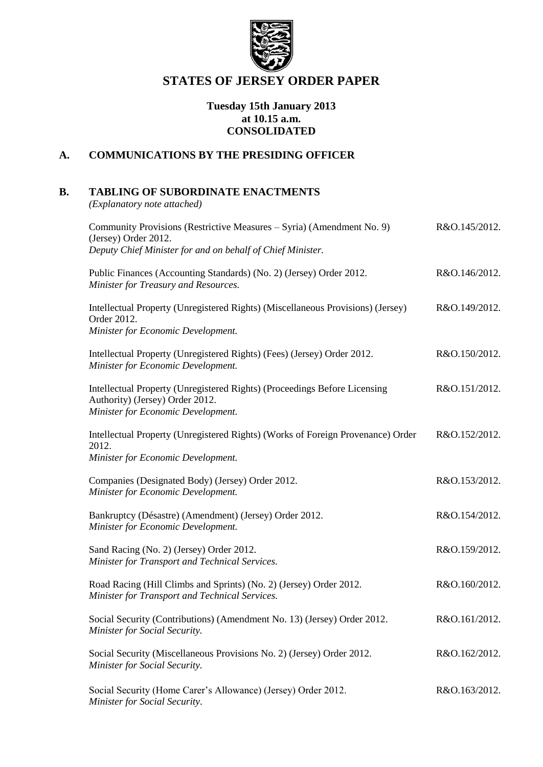

# **STATES OF JERSEY ORDER PAPER**

### **Tuesday 15th January 2013 at 10.15 a.m. CONSOLIDATED**

# **A. COMMUNICATIONS BY THE PRESIDING OFFICER**

# **B. TABLING OF SUBORDINATE ENACTMENTS**

*(Explanatory note attached)*

| Community Provisions (Restrictive Measures – Syria) (Amendment No. 9)<br>(Jersey) Order 2012.                                                      | R&O.145/2012. |
|----------------------------------------------------------------------------------------------------------------------------------------------------|---------------|
| Deputy Chief Minister for and on behalf of Chief Minister.                                                                                         |               |
| Public Finances (Accounting Standards) (No. 2) (Jersey) Order 2012.<br>Minister for Treasury and Resources.                                        | R&O.146/2012. |
| Intellectual Property (Unregistered Rights) (Miscellaneous Provisions) (Jersey)<br>Order 2012.                                                     | R&O.149/2012. |
| Minister for Economic Development.                                                                                                                 |               |
| Intellectual Property (Unregistered Rights) (Fees) (Jersey) Order 2012.<br>Minister for Economic Development.                                      | R&O.150/2012. |
| Intellectual Property (Unregistered Rights) (Proceedings Before Licensing<br>Authority) (Jersey) Order 2012.<br>Minister for Economic Development. | R&O.151/2012. |
| Intellectual Property (Unregistered Rights) (Works of Foreign Provenance) Order<br>2012.<br>Minister for Economic Development.                     | R&O.152/2012. |
| Companies (Designated Body) (Jersey) Order 2012.<br>Minister for Economic Development.                                                             | R&O.153/2012. |
| Bankruptcy (Désastre) (Amendment) (Jersey) Order 2012.<br>Minister for Economic Development.                                                       | R&O.154/2012. |
| Sand Racing (No. 2) (Jersey) Order 2012.<br>Minister for Transport and Technical Services.                                                         | R&O.159/2012. |
| Road Racing (Hill Climbs and Sprints) (No. 2) (Jersey) Order 2012.<br>Minister for Transport and Technical Services.                               | R&O.160/2012. |
| Social Security (Contributions) (Amendment No. 13) (Jersey) Order 2012.<br>Minister for Social Security.                                           | R&O.161/2012. |
| Social Security (Miscellaneous Provisions No. 2) (Jersey) Order 2012.<br>Minister for Social Security.                                             | R&O.162/2012. |
| Social Security (Home Carer's Allowance) (Jersey) Order 2012.<br>Minister for Social Security.                                                     | R&O.163/2012. |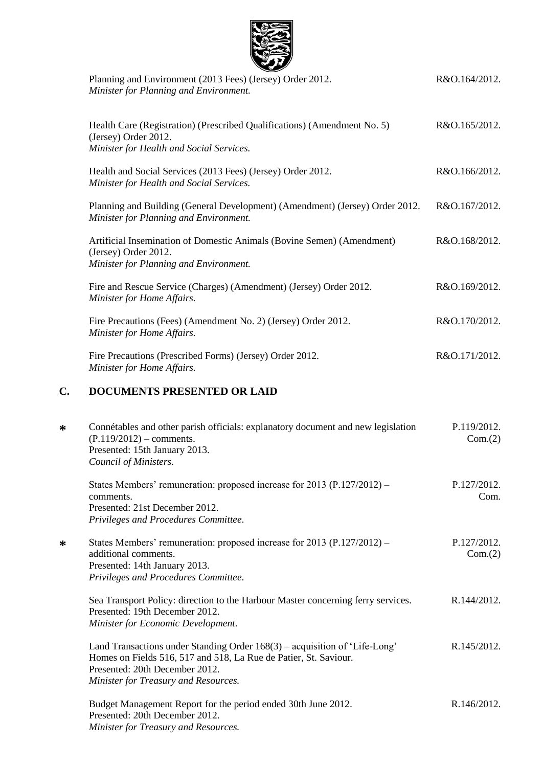|    | Planning and Environment (2013 Fees) (Jersey) Order 2012.<br>Minister for Planning and Environment.                                                                      | R&O.164/2012.          |
|----|--------------------------------------------------------------------------------------------------------------------------------------------------------------------------|------------------------|
|    | Health Care (Registration) (Prescribed Qualifications) (Amendment No. 5)<br>(Jersey) Order 2012.<br>Minister for Health and Social Services.                             | R&O.165/2012.          |
|    | Health and Social Services (2013 Fees) (Jersey) Order 2012.<br>Minister for Health and Social Services.                                                                  | R&O.166/2012.          |
|    | Planning and Building (General Development) (Amendment) (Jersey) Order 2012.<br>Minister for Planning and Environment.                                                   | R&O.167/2012.          |
|    | Artificial Insemination of Domestic Animals (Bovine Semen) (Amendment)<br>(Jersey) Order 2012.<br>Minister for Planning and Environment.                                 | R&O.168/2012.          |
|    | Fire and Rescue Service (Charges) (Amendment) (Jersey) Order 2012.<br>Minister for Home Affairs.                                                                         | R&O.169/2012.          |
|    | Fire Precautions (Fees) (Amendment No. 2) (Jersey) Order 2012.<br>Minister for Home Affairs.                                                                             | R&O.170/2012.          |
|    | Fire Precautions (Prescribed Forms) (Jersey) Order 2012.<br>Minister for Home Affairs.                                                                                   | R&O.171/2012.          |
| C. | <b>DOCUMENTS PRESENTED OR LAID</b>                                                                                                                                       |                        |
| ∗  | Connétables and other parish officials: explanatory document and new legislation<br>$(P.119/2012)$ – comments.<br>Presented: 15th January 2013.<br>Council of Ministers. | P.119/2012.<br>Com.(2) |
|    | States Members' remuneration: proposed increase for 2013 (P.127/2012) –<br>comments.<br>Presented: 21st December 2012.<br>Privileges and Procedures Committee.           | P.127/2012.<br>Com.    |
| ∗  | States Members' remuneration: proposed increase for 2013 (P.127/2012) –<br>additional comments.<br>Presented: 14th January 2013.<br>Privileges and Procedures Committee. | P.127/2012.<br>Com.(2) |
|    | Sea Transport Policy: direction to the Harbour Master concerning ferry services                                                                                          | $R$ 144/2012           |

 $3005$ 

**\***

**\***

Sea Transport Policy: direction to the Harbour Master concerning ferry services. Presented: 19th December 2012. *Minister for Economic Development.* R.144/2012.

Land Transactions under Standing Order 168(3) – acquisition of 'Life-Long' Homes on Fields 516, 517 and 518, La Rue de Patier, St. Saviour. Presented: 20th December 2012. *Minister for Treasury and Resources.* R.145/2012.

Budget Management Report for the period ended 30th June 2012. Presented: 20th December 2012. *Minister for Treasury and Resources.* R.146/2012.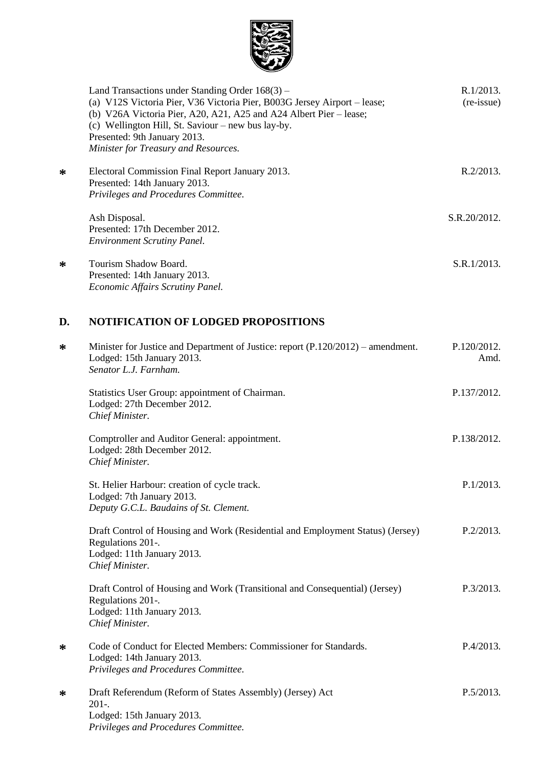

| Land Transactions under Standing Order $168(3)$ –<br>(a) V12S Victoria Pier, V36 Victoria Pier, B003G Jersey Airport – lease;<br>(b) V26A Victoria Pier, A20, A21, A25 and A24 Albert Pier – lease;<br>(c) Wellington Hill, St. Saviour – new bus lay-by.<br>Presented: 9th January 2013. | R.1/2013.<br>(re-issue) |
|-------------------------------------------------------------------------------------------------------------------------------------------------------------------------------------------------------------------------------------------------------------------------------------------|-------------------------|
| Minister for Treasury and Resources.                                                                                                                                                                                                                                                      |                         |
| Electoral Commission Final Report January 2013.<br>Presented: 14th January 2013.                                                                                                                                                                                                          | $R.2/2013$ .            |
| Privileges and Procedures Committee.                                                                                                                                                                                                                                                      |                         |
| Ash Disposal.<br>Presented: 17th December 2012.                                                                                                                                                                                                                                           | S.R.20/2012.            |
| <b>Environment Scrutiny Panel.</b>                                                                                                                                                                                                                                                        |                         |
| Tourism Shadow Board.<br>Presented: 14th January 2013.                                                                                                                                                                                                                                    | S.R.1/2013.             |
| Economic Affairs Scrutiny Panel.                                                                                                                                                                                                                                                          |                         |

# **D. NOTIFICATION OF LODGED PROPOSITIONS**

**\***

**\***

| ∗ | Minister for Justice and Department of Justice: report (P.120/2012) – amendment.<br>Lodged: 15th January 2013.<br>Senator L.J. Farnham.              | P.120/2012.<br>Amd. |
|---|------------------------------------------------------------------------------------------------------------------------------------------------------|---------------------|
|   | Statistics User Group: appointment of Chairman.<br>Lodged: 27th December 2012.<br>Chief Minister.                                                    | P.137/2012.         |
|   | Comptroller and Auditor General: appointment.<br>Lodged: 28th December 2012.<br>Chief Minister.                                                      | P.138/2012.         |
|   | St. Helier Harbour: creation of cycle track.<br>Lodged: 7th January 2013.<br>Deputy G.C.L. Baudains of St. Clement.                                  | P.1/2013.           |
|   | Draft Control of Housing and Work (Residential and Employment Status) (Jersey)<br>Regulations 201-.<br>Lodged: 11th January 2013.<br>Chief Minister. | P.2/2013.           |
|   | Draft Control of Housing and Work (Transitional and Consequential) (Jersey)<br>Regulations 201-.<br>Lodged: 11th January 2013.<br>Chief Minister.    | P.3/2013.           |
| ∗ | Code of Conduct for Elected Members: Commissioner for Standards.<br>Lodged: 14th January 2013.<br>Privileges and Procedures Committee.               | P.4/2013.           |
| ∗ | Draft Referendum (Reform of States Assembly) (Jersey) Act<br>$201-.$<br>Lodged: 15th January 2013.<br>Privileges and Procedures Committee.           | P.5/2013.           |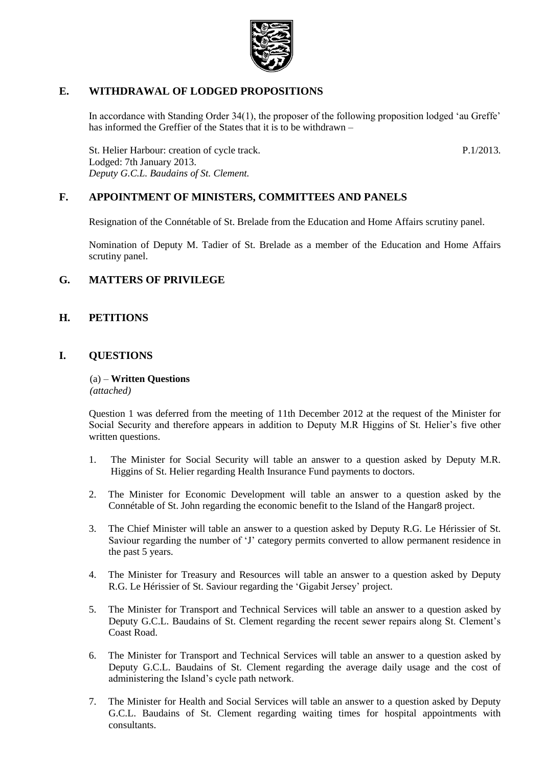

# **E. WITHDRAWAL OF LODGED PROPOSITIONS**

In accordance with Standing Order 34(1), the proposer of the following proposition lodged 'au Greffe' has informed the Greffier of the States that it is to be withdrawn –

St. Helier Harbour: creation of cycle track. Lodged: 7th January 2013. *Deputy G.C.L. Baudains of St. Clement.*

P.1/2013.

# **F. APPOINTMENT OF MINISTERS, COMMITTEES AND PANELS**

Resignation of the Connétable of St. Brelade from the Education and Home Affairs scrutiny panel.

Nomination of Deputy M. Tadier of St. Brelade as a member of the Education and Home Affairs scrutiny panel.

# **G. MATTERS OF PRIVILEGE**

#### **H. PETITIONS**

### **I. QUESTIONS**

(a) – **Written Questions** *(attached)*

Question 1 was deferred from the meeting of 11th December 2012 at the request of the Minister for Social Security and therefore appears in addition to Deputy M.R Higgins of St. Helier's five other written questions.

- 1. The Minister for Social Security will table an answer to a question asked by Deputy M.R. Higgins of St. Helier regarding Health Insurance Fund payments to doctors.
- 2. The Minister for Economic Development will table an answer to a question asked by the Connétable of St. John regarding the economic benefit to the Island of the Hangar8 project.
- 3. The Chief Minister will table an answer to a question asked by Deputy R.G. Le Hérissier of St. Saviour regarding the number of 'J' category permits converted to allow permanent residence in the past 5 years.
- 4. The Minister for Treasury and Resources will table an answer to a question asked by Deputy R.G. Le Hérissier of St. Saviour regarding the 'Gigabit Jersey' project.
- 5. The Minister for Transport and Technical Services will table an answer to a question asked by Deputy G.C.L. Baudains of St. Clement regarding the recent sewer repairs along St. Clement's Coast Road.
- 6. The Minister for Transport and Technical Services will table an answer to a question asked by Deputy G.C.L. Baudains of St. Clement regarding the average daily usage and the cost of administering the Island's cycle path network.
- 7. The Minister for Health and Social Services will table an answer to a question asked by Deputy G.C.L. Baudains of St. Clement regarding waiting times for hospital appointments with consultants.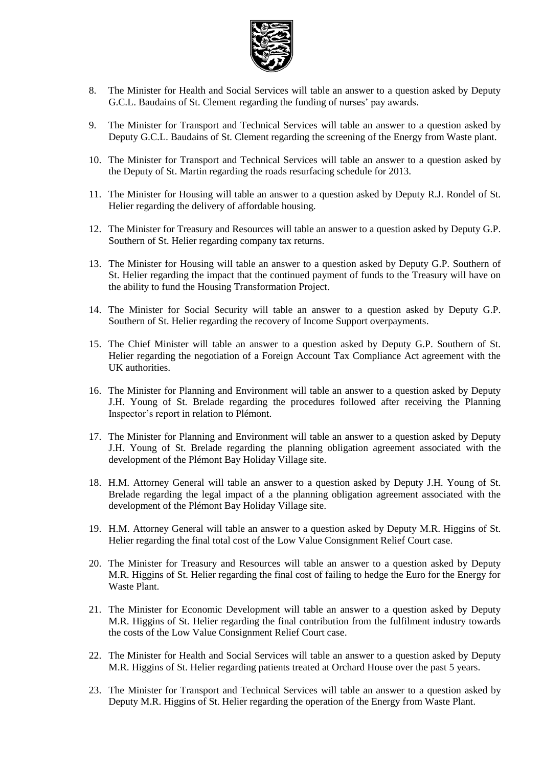

- 8. The Minister for Health and Social Services will table an answer to a question asked by Deputy G.C.L. Baudains of St. Clement regarding the funding of nurses' pay awards.
- 9. The Minister for Transport and Technical Services will table an answer to a question asked by Deputy G.C.L. Baudains of St. Clement regarding the screening of the Energy from Waste plant.
- 10. The Minister for Transport and Technical Services will table an answer to a question asked by the Deputy of St. Martin regarding the roads resurfacing schedule for 2013.
- 11. The Minister for Housing will table an answer to a question asked by Deputy R.J. Rondel of St. Helier regarding the delivery of affordable housing.
- 12. The Minister for Treasury and Resources will table an answer to a question asked by Deputy G.P. Southern of St. Helier regarding company tax returns.
- 13. The Minister for Housing will table an answer to a question asked by Deputy G.P. Southern of St. Helier regarding the impact that the continued payment of funds to the Treasury will have on the ability to fund the Housing Transformation Project.
- 14. The Minister for Social Security will table an answer to a question asked by Deputy G.P. Southern of St. Helier regarding the recovery of Income Support overpayments.
- 15. The Chief Minister will table an answer to a question asked by Deputy G.P. Southern of St. Helier regarding the negotiation of a Foreign Account Tax Compliance Act agreement with the UK authorities.
- 16. The Minister for Planning and Environment will table an answer to a question asked by Deputy J.H. Young of St. Brelade regarding the procedures followed after receiving the Planning Inspector's report in relation to Plémont.
- 17. The Minister for Planning and Environment will table an answer to a question asked by Deputy J.H. Young of St. Brelade regarding the planning obligation agreement associated with the development of the Plémont Bay Holiday Village site.
- 18. H.M. Attorney General will table an answer to a question asked by Deputy J.H. Young of St. Brelade regarding the legal impact of a the planning obligation agreement associated with the development of the Plémont Bay Holiday Village site.
- 19. H.M. Attorney General will table an answer to a question asked by Deputy M.R. Higgins of St. Helier regarding the final total cost of the Low Value Consignment Relief Court case.
- 20. The Minister for Treasury and Resources will table an answer to a question asked by Deputy M.R. Higgins of St. Helier regarding the final cost of failing to hedge the Euro for the Energy for Waste Plant.
- 21. The Minister for Economic Development will table an answer to a question asked by Deputy M.R. Higgins of St. Helier regarding the final contribution from the fulfilment industry towards the costs of the Low Value Consignment Relief Court case.
- 22. The Minister for Health and Social Services will table an answer to a question asked by Deputy M.R. Higgins of St. Helier regarding patients treated at Orchard House over the past 5 years.
- 23. The Minister for Transport and Technical Services will table an answer to a question asked by Deputy M.R. Higgins of St. Helier regarding the operation of the Energy from Waste Plant.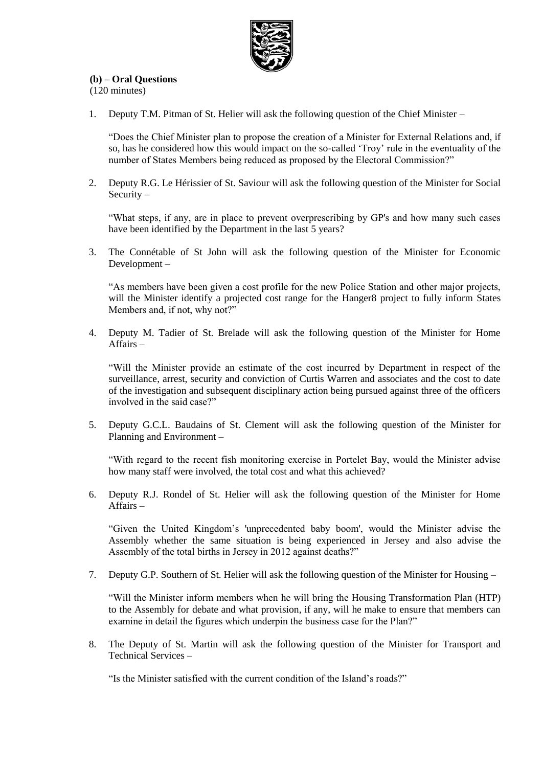

### **(b) – Oral Questions**

(120 minutes)

1. Deputy T.M. Pitman of St. Helier will ask the following question of the Chief Minister –

"Does the Chief Minister plan to propose the creation of a Minister for External Relations and, if so, has he considered how this would impact on the so-called 'Troy' rule in the eventuality of the number of States Members being reduced as proposed by the Electoral Commission?"

2. Deputy R.G. Le Hérissier of St. Saviour will ask the following question of the Minister for Social Security –

"What steps, if any, are in place to prevent overprescribing by GP's and how many such cases have been identified by the Department in the last 5 years?

3. The Connétable of St John will ask the following question of the Minister for Economic Development –

"As members have been given a cost profile for the new Police Station and other major projects, will the Minister identify a projected cost range for the Hanger8 project to fully inform States Members and, if not, why not?"

4. Deputy M. Tadier of St. Brelade will ask the following question of the Minister for Home Affairs –

"Will the Minister provide an estimate of the cost incurred by Department in respect of the surveillance, arrest, security and conviction of Curtis Warren and associates and the cost to date of the investigation and subsequent disciplinary action being pursued against three of the officers involved in the said case?"

5. Deputy G.C.L. Baudains of St. Clement will ask the following question of the Minister for Planning and Environment –

"With regard to the recent fish monitoring exercise in Portelet Bay, would the Minister advise how many staff were involved, the total cost and what this achieved?

6. Deputy R.J. Rondel of St. Helier will ask the following question of the Minister for Home Affairs –

"Given the United Kingdom's 'unprecedented baby boom', would the Minister advise the Assembly whether the same situation is being experienced in Jersey and also advise the Assembly of the total births in Jersey in 2012 against deaths?"

7. Deputy G.P. Southern of St. Helier will ask the following question of the Minister for Housing –

"Will the Minister inform members when he will bring the Housing Transformation Plan (HTP) to the Assembly for debate and what provision, if any, will he make to ensure that members can examine in detail the figures which underpin the business case for the Plan?"

8. The Deputy of St. Martin will ask the following question of the Minister for Transport and Technical Services –

"Is the Minister satisfied with the current condition of the Island's roads?"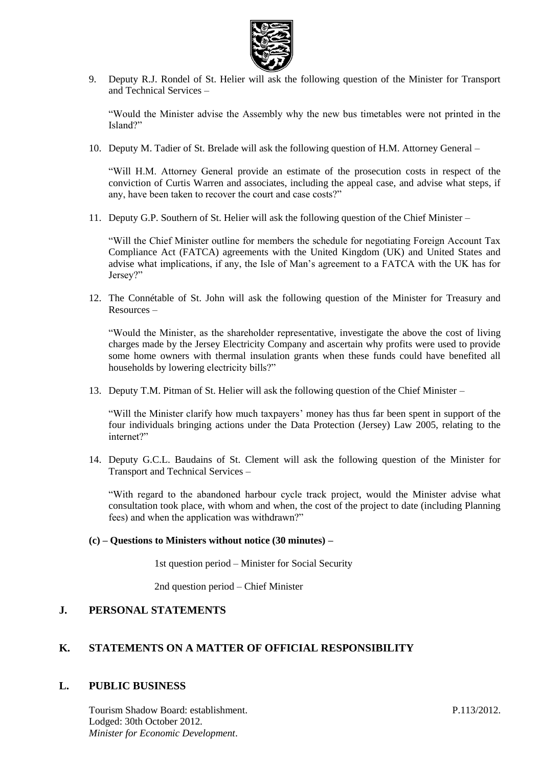

9. Deputy R.J. Rondel of St. Helier will ask the following question of the Minister for Transport and Technical Services –

"Would the Minister advise the Assembly why the new bus timetables were not printed in the Island?"

10. Deputy M. Tadier of St. Brelade will ask the following question of H.M. Attorney General –

"Will H.M. Attorney General provide an estimate of the prosecution costs in respect of the conviction of Curtis Warren and associates, including the appeal case, and advise what steps, if any, have been taken to recover the court and case costs?"

11. Deputy G.P. Southern of St. Helier will ask the following question of the Chief Minister –

"Will the Chief Minister outline for members the schedule for negotiating Foreign Account Tax Compliance Act (FATCA) agreements with the United Kingdom (UK) and United States and advise what implications, if any, the Isle of Man's agreement to a FATCA with the UK has for Jersey?"

12. The Connétable of St. John will ask the following question of the Minister for Treasury and Resources –

"Would the Minister, as the shareholder representative, investigate the above the cost of living charges made by the Jersey Electricity Company and ascertain why profits were used to provide some home owners with thermal insulation grants when these funds could have benefited all households by lowering electricity bills?"

13. Deputy T.M. Pitman of St. Helier will ask the following question of the Chief Minister –

"Will the Minister clarify how much taxpayers' money has thus far been spent in support of the four individuals bringing actions under the Data Protection (Jersey) Law 2005, relating to the internet?"

14. Deputy G.C.L. Baudains of St. Clement will ask the following question of the Minister for Transport and Technical Services –

"With regard to the abandoned harbour cycle track project, would the Minister advise what consultation took place, with whom and when, the cost of the project to date (including Planning fees) and when the application was withdrawn?"

#### **(c) – Questions to Ministers without notice (30 minutes) –**

1st question period – Minister for Social Security

2nd question period – Chief Minister

#### **J. PERSONAL STATEMENTS**

#### **K. STATEMENTS ON A MATTER OF OFFICIAL RESPONSIBILITY**

#### **L. PUBLIC BUSINESS**

Tourism Shadow Board: establishment. Lodged: 30th October 2012. *Minister for Economic Development*.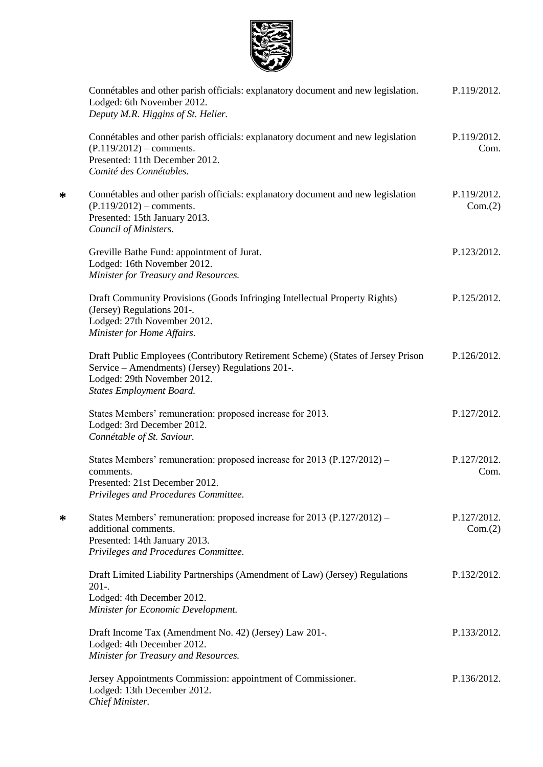

**\***

**\***

| Connétables and other parish officials: explanatory document and new legislation.<br>Lodged: 6th November 2012.<br>Deputy M.R. Higgins of St. Helier.                                                  | P.119/2012.            |
|--------------------------------------------------------------------------------------------------------------------------------------------------------------------------------------------------------|------------------------|
| Connétables and other parish officials: explanatory document and new legislation<br>$(P.119/2012)$ – comments.<br>Presented: 11th December 2012.<br>Comité des Connétables.                            | P.119/2012.<br>Com.    |
| Connétables and other parish officials: explanatory document and new legislation<br>$(P.119/2012)$ – comments.<br>Presented: 15th January 2013.<br>Council of Ministers.                               | P.119/2012.<br>Com.(2) |
| Greville Bathe Fund: appointment of Jurat.<br>Lodged: 16th November 2012.<br>Minister for Treasury and Resources.                                                                                      | P.123/2012.            |
| Draft Community Provisions (Goods Infringing Intellectual Property Rights)<br>(Jersey) Regulations 201-.<br>Lodged: 27th November 2012.<br>Minister for Home Affairs.                                  | P.125/2012.            |
| Draft Public Employees (Contributory Retirement Scheme) (States of Jersey Prison<br>Service - Amendments) (Jersey) Regulations 201-.<br>Lodged: 29th November 2012.<br><b>States Employment Board.</b> | P.126/2012.            |
| States Members' remuneration: proposed increase for 2013.<br>Lodged: 3rd December 2012.<br>Connétable of St. Saviour.                                                                                  | P.127/2012.            |
| States Members' remuneration: proposed increase for 2013 (P.127/2012) –<br>comments.<br>Presented: 21st December 2012.<br>Privileges and Procedures Committee.                                         | P.127/2012.<br>Com.    |
| States Members' remuneration: proposed increase for 2013 (P.127/2012) –<br>additional comments.<br>Presented: 14th January 2013.<br>Privileges and Procedures Committee.                               | P.127/2012.<br>Com.(2) |
| Draft Limited Liability Partnerships (Amendment of Law) (Jersey) Regulations<br>$201 -$<br>Lodged: 4th December 2012.<br>Minister for Economic Development.                                            | P.132/2012.            |
| Draft Income Tax (Amendment No. 42) (Jersey) Law 201-.<br>Lodged: 4th December 2012.<br>Minister for Treasury and Resources.                                                                           | P.133/2012.            |
| Jersey Appointments Commission: appointment of Commissioner.<br>Lodged: 13th December 2012.<br>Chief Minister.                                                                                         | P.136/2012.            |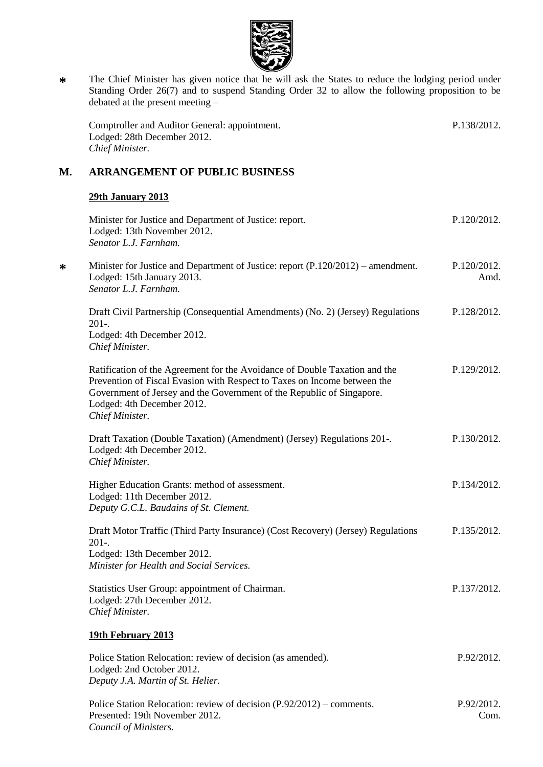

**\*** The Chief Minister has given notice that he will ask the States to reduce the lodging period under Standing Order 26(7) and to suspend Standing Order 32 to allow the following proposition to be debated at the present meeting –

Comptroller and Auditor General: appointment. Lodged: 28th December 2012. *Chief Minister.* P.138/2012.

# **M. ARRANGEMENT OF PUBLIC BUSINESS**

#### **29th January 2013**

**\***

| Minister for Justice and Department of Justice: report.<br>Lodged: 13th November 2012.<br>Senator L.J. Farnham.                                                                                                                                                                  | P.120/2012.         |
|----------------------------------------------------------------------------------------------------------------------------------------------------------------------------------------------------------------------------------------------------------------------------------|---------------------|
| Minister for Justice and Department of Justice: report (P.120/2012) – amendment.<br>Lodged: 15th January 2013.<br>Senator L.J. Farnham.                                                                                                                                          | P.120/2012.<br>Amd. |
| Draft Civil Partnership (Consequential Amendments) (No. 2) (Jersey) Regulations<br>$201-.$<br>Lodged: 4th December 2012.<br>Chief Minister.                                                                                                                                      | P.128/2012.         |
| Ratification of the Agreement for the Avoidance of Double Taxation and the<br>Prevention of Fiscal Evasion with Respect to Taxes on Income between the<br>Government of Jersey and the Government of the Republic of Singapore.<br>Lodged: 4th December 2012.<br>Chief Minister. | P.129/2012.         |
| Draft Taxation (Double Taxation) (Amendment) (Jersey) Regulations 201-.<br>Lodged: 4th December 2012.<br>Chief Minister.                                                                                                                                                         | P.130/2012.         |
| Higher Education Grants: method of assessment.<br>Lodged: 11th December 2012.<br>Deputy G.C.L. Baudains of St. Clement.                                                                                                                                                          | P.134/2012.         |
| Draft Motor Traffic (Third Party Insurance) (Cost Recovery) (Jersey) Regulations<br>$201 -$<br>Lodged: 13th December 2012.<br>Minister for Health and Social Services.                                                                                                           | P.135/2012.         |
| Statistics User Group: appointment of Chairman.<br>Lodged: 27th December 2012.<br>Chief Minister.                                                                                                                                                                                | P.137/2012.         |
| 19th February 2013                                                                                                                                                                                                                                                               |                     |
| Police Station Relocation: review of decision (as amended).<br>Lodged: 2nd October 2012.<br>Deputy J.A. Martin of St. Helier.                                                                                                                                                    | P.92/2012.          |
| Police Station Relocation: review of decision (P.92/2012) – comments.<br>Presented: 19th November 2012.<br>Council of Ministers.                                                                                                                                                 | P.92/2012.<br>Com.  |